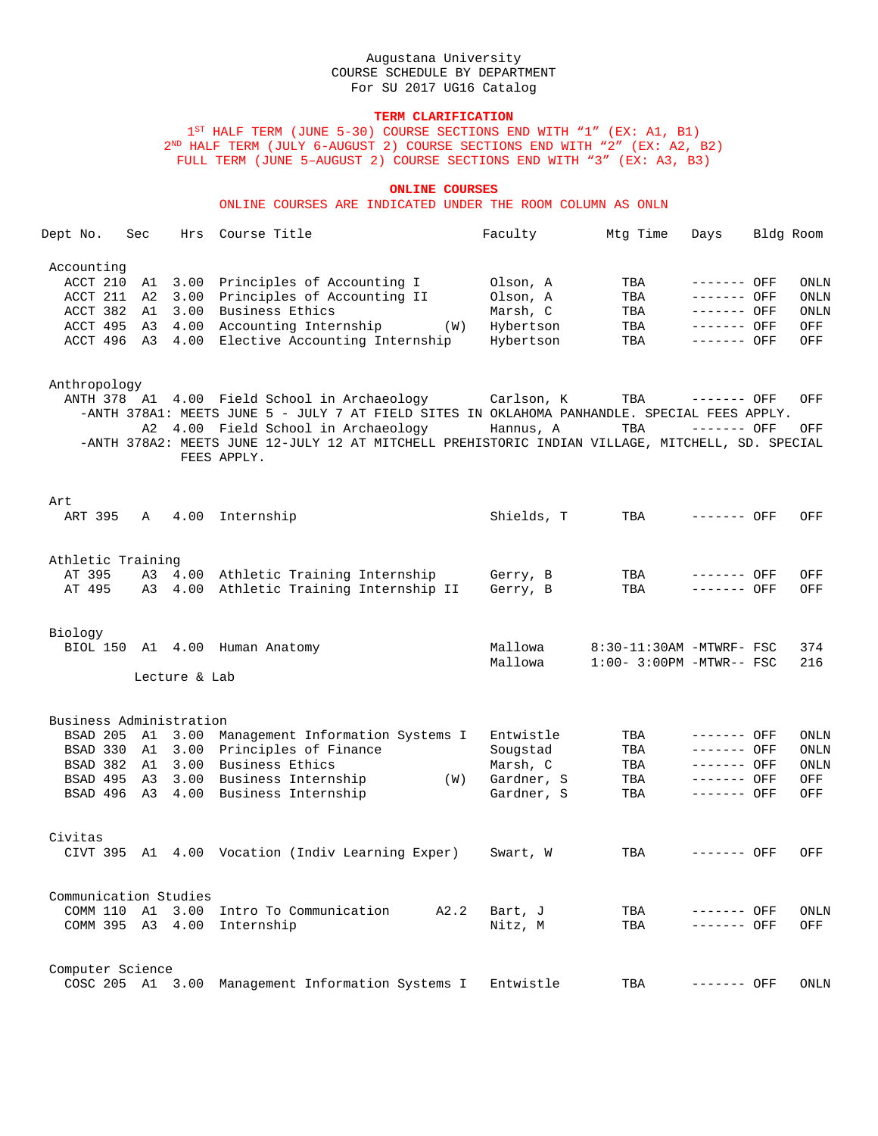## **TERM CLARIFICATION**

1ST HALF TERM (JUNE 5-30) COURSE SECTIONS END WITH "1" (EX: A1, B1)  $2^{\mathtt{ND}}$  HALF TERM (JULY 6-AUGUST 2) COURSE SECTIONS END WITH "2" (EX: A2, B2) FULL TERM (JUNE 5–AUGUST 2) COURSE SECTIONS END WITH "3" (EX: A3, B3)

#### **ONLINE COURSES**

ONLINE COURSES ARE INDICATED UNDER THE ROOM COLUMN AS ONLN

| Dept No.   | Sec | Hrs Course Title                                | Faculty   | Mtq Time | Days         | Bldg Room |      |
|------------|-----|-------------------------------------------------|-----------|----------|--------------|-----------|------|
| Accounting |     |                                                 |           |          |              |           |      |
|            |     | ACCT 210 A1 3.00 Principles of Accounting I     | Olson, A  | TBA      | --------     | OFF       | ONLN |
|            |     | ACCT 211 A2 3.00 Principles of Accounting II    | Olson, A  | TBA      | --------     | OFF       | ONLN |
|            |     | ACCT 382 A1 3.00 Business Ethics                | Marsh, C  | TBA      | ------- OFF  |           | ONLN |
|            |     | ACCT 495 A3 4.00 Accounting Internship<br>(W)   | Hybertson | TBA      | $------$ OFF |           | OFF  |
|            |     | ACCT 496 A3 4.00 Elective Accounting Internship | Hybertson | TBA      | $------$ OFF |           | OFF  |
|            |     |                                                 |           |          |              |           |      |

#### Anthropology

ANTH 378 A1 4.00 Field School in Archaeology Carlson, K TBA ------- OFF OFF -ANTH 378A1: MEETS JUNE 5 - JULY 7 AT FIELD SITES IN OKLAHOMA PANHANDLE. SPECIAL FEES APPLY. A2 4.00 Field School in Archaeology Hannus, A TBA ------- OFF OFF -ANTH 378A2: MEETS JUNE 12-JULY 12 AT MITCHELL PREHISTORIC INDIAN VILLAGE, MITCHELL, SD. SPECIAL FEES APPLY.

#### Art

| ART 395                     | Α  | 4.00          | Internship                                                                             | Shields, T           | TBA                      | ------- OFF                  | OFF         |
|-----------------------------|----|---------------|----------------------------------------------------------------------------------------|----------------------|--------------------------|------------------------------|-------------|
| Athletic Training<br>AT 395 |    |               | A3 4.00 Athletic Training Internship<br>AT 495 A3 4.00 Athletic Training Internship II | Gerry, B<br>Gerry, B | TBA<br>TBA               | $------$ OFF<br>$------$ OFF | OFF<br>OFF  |
| Biology                     |    |               | BIOL 150 A1 4.00 Human Anatomy                                                         | Mallowa              | 8:30-11:30AM -MTWRF- FSC |                              | 374         |
|                             |    | Lecture & Lab |                                                                                        | Mallowa              | $1:00-3:00PM -MTWR--FSC$ |                              | 216         |
| Business Administration     |    |               |                                                                                        |                      |                          |                              |             |
| BSAD 205                    |    | A1 3.00       | Management Information Systems I                                                       | Entwistle            | TBA                      | $------$ OFF                 | <b>ONLN</b> |
| BSAD 330                    | A1 | 3.00          | Principles of Finance                                                                  | Sougstad             | TBA                      | $------$ OFF                 | ONLN        |
| BSAD 382                    | A1 | 3.00          | Business Ethics                                                                        | Marsh, C             | TBA                      | $------$ OFF                 | ONLN        |
| BSAD 495                    | A3 | 3.00          | Business Internship<br>(W)                                                             | Gardner, S           | TBA                      | $------$ OFF                 | OFF         |
| BSAD 496 A3 4.00            |    |               | Business Internship                                                                    | Gardner, S           | TBA                      | $------$ OFF                 | OFF         |
| Civitas                     |    |               |                                                                                        |                      |                          |                              |             |
|                             |    |               | CIVT 395 Al 4.00 Vocation (Indiv Learning Exper)                                       | Swart, W             | TBA                      | $------$ OFF                 | OFF         |
| Communication Studies       |    |               |                                                                                        |                      |                          |                              |             |
|                             |    |               | COMM 110 A1 3.00 Intro To Communication A2.2 Bart, J                                   |                      | TBA                      | $------$ OFF                 | ONLN        |
|                             |    |               | COMM 395 A3 4.00 Internship                                                            | Nitz, M              | TBA                      | $------$ OFF                 | OFF         |
| Computer Science            |    |               |                                                                                        |                      |                          |                              |             |
|                             |    |               | COSC 205 A1 3.00 Management Information Systems I                                      | Entwistle            | TBA                      | ------- OFF                  | <b>ONLN</b> |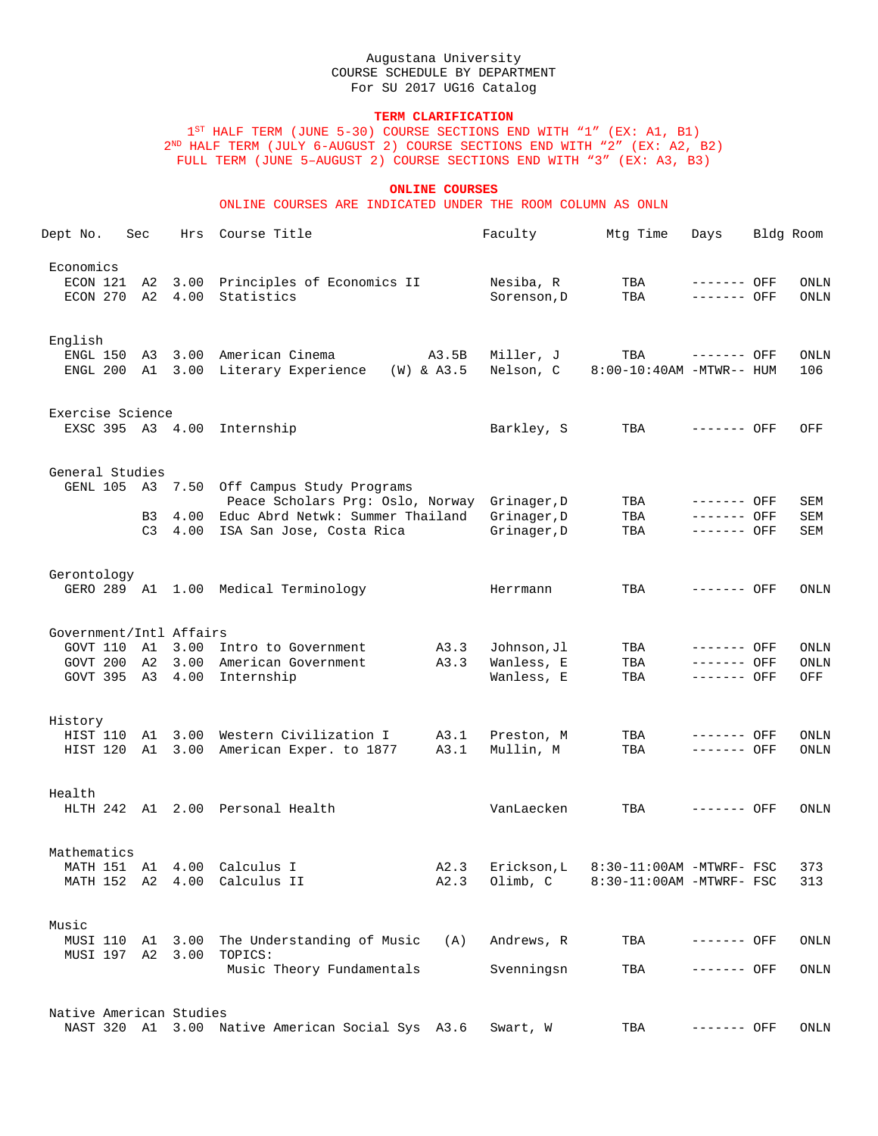## **TERM CLARIFICATION**

1<sup>ST</sup> HALF TERM (JUNE 5-30) COURSE SECTIONS END WITH "1" (EX: A1, B1) 2ND HALF TERM (JULY 6-AUGUST 2) COURSE SECTIONS END WITH "2" (EX: A2, B2) FULL TERM (JUNE 5–AUGUST 2) COURSE SECTIONS END WITH "3" (EX: A3, B3)

### **ONLINE COURSES**

ONLINE COURSES ARE INDICATED UNDER THE ROOM COLUMN AS ONLN

| Dept No.                             | Sec      | Hrs          | Course Title                                                                          |       | Faculty                  | Mtg Time                        | Days                       | Bldg Room    |
|--------------------------------------|----------|--------------|---------------------------------------------------------------------------------------|-------|--------------------------|---------------------------------|----------------------------|--------------|
| Economics<br>ECON 121<br>ECON 270 A2 | A2       | 3.00<br>4.00 | Principles of Economics II<br>Statistics                                              |       | Nesiba, R<br>Sorenson, D | TBA<br>TBA                      | ------- OFF<br>------- OFF | ONLN<br>ONLN |
| English                              |          |              | ENGL 150 A3 3.00 American Cinema<br>ENGL 200 A1 3.00 Literary Experience $(W)$ & A3.5 | A3.5B | Miller, J<br>Nelson, C   | TBA<br>8:00-10:40AM -MTWR-- HUM | ------- OFF                | ONLN<br>106  |
|                                      |          |              |                                                                                       |       |                          |                                 |                            |              |
| Exercise Science<br>EXSC 395 A3 4.00 |          |              | Internship                                                                            |       | Barkley, S               | TBA                             | $------$ OFF               | OFF          |
| General Studies                      |          |              |                                                                                       |       |                          |                                 |                            |              |
|                                      |          |              | GENL 105 A3 7.50 Off Campus Study Programs<br>Peace Scholars Prg: Oslo, Norway        |       | Grinager, D              | TBA                             | ------- OFF                | SEM          |
|                                      | B3       | 4.00         | Educ Abrd Netwk: Summer Thailand                                                      |       | Grinager, D              | TBA                             | ------- OFF                | SEM          |
|                                      | C3       | 4.00         | ISA San Jose, Costa Rica                                                              |       | Grinager, D              | TBA                             | ------- OFF                | SEM          |
| Gerontology                          |          |              |                                                                                       |       |                          |                                 |                            |              |
|                                      |          |              | GERO 289 A1 1.00 Medical Terminology                                                  |       | Herrmann                 | TBA                             | ------- OFF                | ONLN         |
| Government/Intl Affairs              |          |              |                                                                                       |       |                          |                                 |                            |              |
| GOVT 110 A1 3.00                     |          |              | Intro to Government                                                                   | A3.3  | Johnson, Jl              | TBA                             | ------- OFF                | ONLN         |
| GOVT 200 A2                          |          | 3.00         | American Government                                                                   | A3.3  | Wanless, E               | TBA                             | ------- OFF                | ONLN         |
| GOVT 395 A3                          |          | 4.00         | Internship                                                                            |       | Wanless, E               | TBA                             | ------- OFF                | OFF          |
| History                              |          |              |                                                                                       |       |                          |                                 |                            |              |
|                                      |          |              | HIST 110 A1 3.00 Western Civilization I                                               | A3.1  | Preston, M               | TBA                             | ------- OFF                | ONLN         |
|                                      |          |              | HIST 120 A1 3.00 American Exper. to 1877                                              | A3.1  | Mullin, M                | TBA                             | ------- OFF                | ONLN         |
| Health                               |          |              |                                                                                       |       |                          |                                 |                            |              |
|                                      |          |              | HLTH 242 A1 2.00 Personal Health                                                      |       | VanLaecken               | TBA                             | ------- OFF                | ONLN         |
| Mathematics                          |          |              |                                                                                       |       |                          |                                 |                            |              |
|                                      |          |              | MATH 151 A1 4.00 Calculus I                                                           | A2.3  | Erickson, L              | 8:30-11:00AM -MTWRF- FSC        |                            | 373          |
|                                      |          |              | MATH 152 A2 4.00 Calculus II                                                          | A2.3  | Olimb, C                 | 8:30-11:00AM -MTWRF- FSC        |                            | 313          |
| Music                                |          |              |                                                                                       |       |                          |                                 |                            |              |
| MUSI 110<br>MUSI 197                 | A1<br>A2 | 3.00<br>3.00 | The Understanding of Music<br>TOPICS:                                                 | (A)   | Andrews, R               | TBA                             | ------- OFF                | ONLN         |
|                                      |          |              | Music Theory Fundamentals                                                             |       | Svenningsn               | TBA                             | ------- OFF                | ONLN         |
| Native American Studies              |          |              |                                                                                       |       |                          |                                 |                            |              |
|                                      |          |              | NAST 320 A1 3.00 Native American Social Sys A3.6                                      |       | Swart, W                 | TBA                             | ------- OFF                | ONLN         |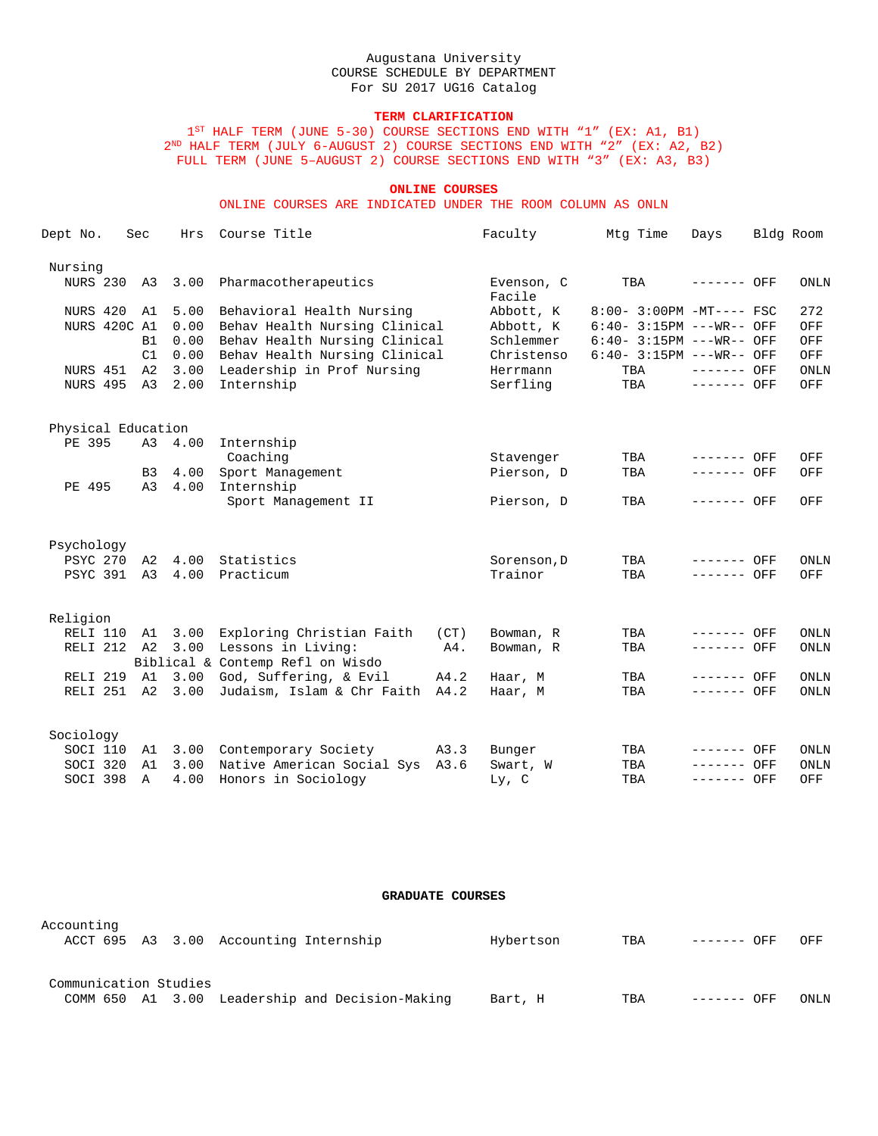## **TERM CLARIFICATION**

1<sup>ST</sup> HALF TERM (JUNE 5-30) COURSE SECTIONS END WITH "1" (EX: A1, B1)  $2^{\text{\tiny{ND}}}$  HALF TERM (JULY 6-AUGUST 2) COURSE SECTIONS END WITH "2" (EX: A2, B2) FULL TERM (JUNE 5–AUGUST 2) COURSE SECTIONS END WITH "3" (EX: A3, B3)

### **ONLINE COURSES**

ONLINE COURSES ARE INDICATED UNDER THE ROOM COLUMN AS ONLN

| Dept No.           |              | Sec       | Hrs     | Course Title                               |        | Faculty              | Mtg Time                    | Days         | Bldg Room |             |
|--------------------|--------------|-----------|---------|--------------------------------------------|--------|----------------------|-----------------------------|--------------|-----------|-------------|
| Nursing            |              |           |         |                                            |        |                      |                             |              |           |             |
| NURS 230           |              | A3        | 3.00    | Pharmacotherapeutics                       |        | Evenson, C<br>Facile | TBA                         | $------$ OFF |           | <b>ONLN</b> |
| NURS 420           |              | A1        | 5.00    | Behavioral Health Nursing                  |        | Abbott, K            | 8:00- 3:00PM -MT---- FSC    |              |           | 272         |
|                    | NURS 420C A1 |           | 0.00    | Behav Health Nursing Clinical              |        | Abbott, K            | $6:40-3:15PM$ ---WR-- OFF   |              |           | OFF         |
|                    |              | <b>B1</b> | 0.00    | Behav Health Nursing Clinical              |        | Schlemmer            | $6:40-3:15PM$ ---WR-- OFF   |              |           | OFF         |
|                    |              | C1        | 0.00    | Behav Health Nursing Clinical              |        | Christenso           | $6:40 - 3:15PM$ ---WR-- OFF |              |           | OFF         |
| NURS 451           |              | A2        | 3.00    | Leadership in Prof Nursing                 |        | Herrmann             | TBA                         | $-----$ OFF  |           | ONLN        |
|                    | NURS 495 A3  |           | 2.00    | Internship                                 |        | Serfling             | TBA                         | $-----$ OFF  |           | OFF         |
| Physical Education |              |           |         |                                            |        |                      |                             |              |           |             |
| PE 395             |              |           | A3 4.00 | Internship                                 |        |                      |                             |              |           |             |
|                    |              |           |         | Coaching                                   |        | Stavenger            | TBA                         | ------- OFF  |           | OFF         |
|                    |              | <b>B3</b> | 4.00    | Sport Management                           |        | Pierson, D           | TBA                         | $-----$ OFF  |           | OFF         |
| PE 495             |              | A3        | 4.00    | Internship                                 |        |                      |                             |              |           |             |
|                    |              |           |         | Sport Management II                        |        | Pierson, D           | TBA                         | ------- OFF  |           | OFF         |
| Psychology         |              |           |         |                                            |        |                      |                             |              |           |             |
|                    | PSYC 270 A2  |           | 4.00    | Statistics                                 |        | Sorenson, D          | TBA                         | ------- OFF  |           | <b>ONLN</b> |
|                    | PSYC 391 A3  |           | 4.00    | Practicum                                  |        | Trainor              | TBA                         | ------- OFF  |           | OFF         |
| Religion           |              |           |         |                                            |        |                      |                             |              |           |             |
|                    |              |           |         | RELI 110 A1 3.00 Exploring Christian Faith | (CT)   | Bowman, R            | TBA                         | $-----$ OFF  |           | <b>ONLN</b> |
|                    | RELI 212 A2  |           | 3.00    | Lessons in Living:                         | $A4$ . | Bowman, R            | TBA                         | $-----$ OFF  |           | <b>ONLN</b> |
|                    |              |           |         | Biblical & Contemp Refl on Wisdo           |        |                      |                             |              |           |             |
| RELI 219 A1        |              |           |         | 3.00 God, Suffering, & Evil                | A4.2   | Haar, M              | TBA                         | ------- OFF  |           | ONLN        |
|                    | RELI 251 A2  |           | 3.00    | Judaism, Islam & Chr Faith A4.2            |        | Haar, M              | TBA                         | $-----$ OFF  |           | <b>ONLN</b> |
| Sociology          |              |           |         |                                            |        |                      |                             |              |           |             |
|                    | SOCI 110 A1  |           |         | 3.00 Contemporary Society                  | A3.3   | Bunger               | TBA                         | ------- OFF  |           | <b>ONLN</b> |
| SOCI 320           |              | A1        | 3.00    | Native American Social Sys A3.6            |        | Swart, W             | TBA                         | ------- OFF  |           | <b>ONLN</b> |
| SOCI 398           |              | Α         | 4.00    | Honors in Sociology                        |        | Ly, C                | TBA                         | $-----$ OFF  |           | OFF         |

#### **GRADUATE COURSES**

| Accounting            |  | ACCT 695 A3 3.00 Accounting Internship |                                                 | Hybertson | TBA | ------- OFF | OFF         |
|-----------------------|--|----------------------------------------|-------------------------------------------------|-----------|-----|-------------|-------------|
| Communication Studies |  |                                        | COMM 650 A1 3.00 Leadership and Decision-Making | Bart, H   | TBA | ------- OFF | <b>ONLN</b> |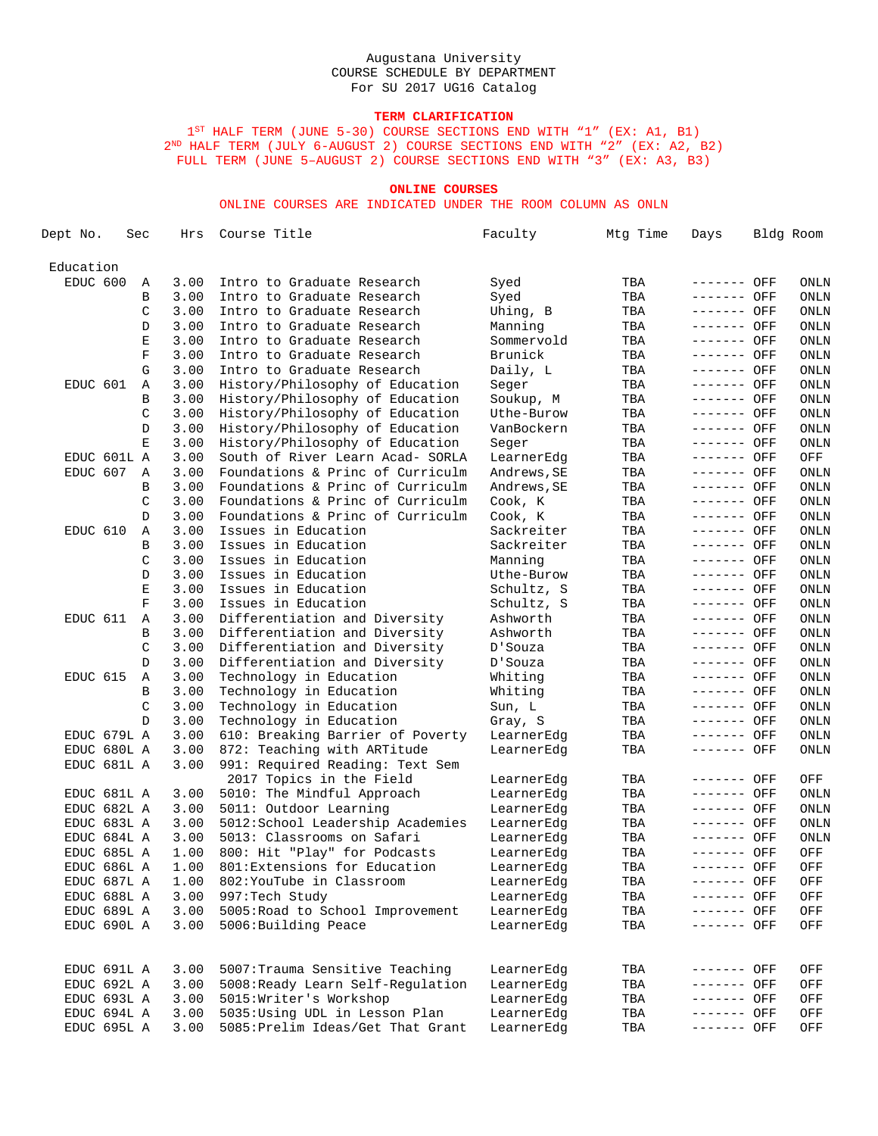# **TERM CLARIFICATION**

1<sup>ST</sup> HALF TERM (JUNE 5-30) COURSE SECTIONS END WITH "1" (EX: A1, B1) 2ND HALF TERM (JULY 6-AUGUST 2) COURSE SECTIONS END WITH "2" (EX: A2, B2) FULL TERM (JUNE 5–AUGUST 2) COURSE SECTIONS END WITH "3" (EX: A3, B3)

### **ONLINE COURSES**

ONLINE COURSES ARE INDICATED UNDER THE ROOM COLUMN AS ONLN

| Dept No.    | Sec |             | Hrs  | Course Title                      | Faculty     | Mtg Time | Days        | Bldg Room |
|-------------|-----|-------------|------|-----------------------------------|-------------|----------|-------------|-----------|
| Education   |     |             |      |                                   |             |          |             |           |
| EDUC 600    |     | Α           | 3.00 | Intro to Graduate Research        | Syed        | TBA      | ------- OFF | ONLN      |
|             |     | В           | 3.00 | Intro to Graduate Research        | Syed        | TBA      | ------- OFF | ONLN      |
|             |     | C           | 3.00 | Intro to Graduate Research        | Uhing, B    | TBA      | ------- OFF | ONLN      |
|             |     | D           | 3.00 | Intro to Graduate Research        | Manning     | TBA      | ------- OFF | ONLN      |
|             |     | E           | 3.00 | Intro to Graduate Research        | Sommervold  | TBA      | ------- OFF | ONLN      |
|             |     | $\mathbf F$ | 3.00 | Intro to Graduate Research        | Brunick     | TBA      | ------- OFF | ONLN      |
|             |     | G           | 3.00 | Intro to Graduate Research        | Daily, L    | TBA      | ------- OFF | ONLN      |
| EDUC 601    |     | Α           | 3.00 | History/Philosophy of Education   | Seger       | TBA      | ------- OFF | ONLN      |
|             |     | В           | 3.00 | History/Philosophy of Education   | Soukup, M   | TBA      | ------- OFF | ONLN      |
|             |     | C           | 3.00 | History/Philosophy of Education   | Uthe-Burow  | TBA      | ------- OFF | ONLN      |
|             |     | D           | 3.00 | History/Philosophy of Education   | VanBockern  | TBA      | ------- OFF | ONLN      |
|             |     | Ε           | 3.00 | History/Philosophy of Education   | Seger       | TBA      | ------- OFF | ONLN      |
| EDUC 601L A |     |             | 3.00 | South of River Learn Acad- SORLA  | LearnerEdg  | TBA      | ------- OFF | OFF       |
| EDUC 607    |     | Α           | 3.00 | Foundations & Princ of Curriculm  | Andrews, SE | TBA      | ------- OFF | ONLN      |
|             |     | В           | 3.00 | Foundations & Princ of Curriculm  | Andrews, SE | TBA      | ------- OFF | ONLN      |
|             |     | C           | 3.00 | Foundations & Princ of Curriculm  | Cook, K     | TBA      | ------- OFF | ONLN      |
|             |     | D           | 3.00 | Foundations & Princ of Curriculm  | Cook, K     | TBA      | ------- OFF | ONLN      |
| EDUC 610    |     | Α           | 3.00 | Issues in Education               | Sackreiter  | TBA      | ------- OFF | ONLN      |
|             |     | В           | 3.00 | Issues in Education               | Sackreiter  | TBA      | ------- OFF | ONLN      |
|             |     | C           | 3.00 | Issues in Education               | Manning     | TBA      | ------- OFF | ONLN      |
|             |     | D           | 3.00 | Issues in Education               | Uthe-Burow  | TBA      | ------- OFF | ONLN      |
|             |     | Ε           | 3.00 | Issues in Education               | Schultz, S  | TBA      | ------- OFF | ONLN      |
|             |     | $\mathbf F$ | 3.00 | Issues in Education               | Schultz, S  | TBA      | ------- OFF | ONLN      |
| EDUC 611    |     | Α           | 3.00 | Differentiation and Diversity     | Ashworth    | TBA      | ------- OFF | ONLN      |
|             |     | В           | 3.00 | Differentiation and Diversity     | Ashworth    | TBA      | ------- OFF | ONLN      |
|             |     | C           | 3.00 | Differentiation and Diversity     | D'Souza     | TBA      | ------- OFF | ONLN      |
|             |     | D           | 3.00 | Differentiation and Diversity     | D'Souza     | TBA      | ------- OFF | ONLN      |
| EDUC 615    |     | Α           | 3.00 | Technology in Education           | Whiting     | TBA      | ------- OFF | ONLN      |
|             |     | В           | 3.00 | Technology in Education           | Whiting     | TBA      | ------- OFF | ONLN      |
|             |     | C           | 3.00 | Technology in Education           | Sun, L      | TBA      | ------- OFF | ONLN      |
|             |     | D           | 3.00 | Technology in Education           | Gray, S     | TBA      | ------- OFF | ONLN      |
| EDUC 679L A |     |             | 3.00 | 610: Breaking Barrier of Poverty  | LearnerEdg  | TBA      | ------- OFF | ONLN      |
| EDUC 680L A |     |             | 3.00 | 872: Teaching with ARTitude       | LearnerEdg  | TBA      | ------- OFF | ONLN      |
| EDUC 681L A |     |             | 3.00 | 991: Required Reading: Text Sem   |             |          |             |           |
|             |     |             |      | 2017 Topics in the Field          | LearnerEdg  | TBA      | ------- OFF | OFF       |
| EDUC 681L A |     |             | 3.00 | 5010: The Mindful Approach        | LearnerEdg  | TBA      | ------- OFF | ONLN      |
| EDUC 682L A |     |             | 3.00 | 5011: Outdoor Learning            | LearnerEdg  | TBA      | ------- OFF | ONLN      |
| EDUC 683L A |     |             | 3.00 | 5012: School Leadership Academies | LearnerEdg  | TBA      | ------- OFF | ONLN      |
| EDUC 684L A |     |             | 3.00 | 5013: Classrooms on Safari        | LearnerEdg  | TBA      | ------- OFF | ONLN      |
| EDUC 685L A |     |             | 1.00 | 800: Hit "Play" for Podcasts      | LearnerEdg  | TBA      | ------- OFF | OFF       |
| EDUC 686L A |     |             | 1.00 | 801: Extensions for Education     | LearnerEdg  | TBA      | ------- OFF | OFF       |
| EDUC 687L A |     |             | 1.00 | 802: YouTube in Classroom         | LearnerEdg  | TBA      | ------- OFF | OFF       |
| EDUC 688L A |     |             | 3.00 | 997: Tech Study                   | LearnerEdg  | TBA      | ------- OFF | OFF       |
| EDUC 689L A |     |             | 3.00 | 5005: Road to School Improvement  | LearnerEdg  | TBA      | ------- OFF | OFF       |
| EDUC 690L A |     |             | 3.00 | 5006: Building Peace              | LearnerEdg  | TBA      | ------- OFF | OFF       |
| EDUC 691L A |     |             | 3.00 | 5007: Trauma Sensitive Teaching   | LearnerEdq  | TBA      | ------- OFF | OFF       |
| EDUC 692L A |     |             | 3.00 | 5008: Ready Learn Self-Regulation | LearnerEdq  | TBA      | ------- OFF | OFF       |
| EDUC 693L A |     |             | 3.00 | 5015: Writer's Workshop           | LearnerEdg  | TBA      | ------- OFF | OFF       |
| EDUC 694L A |     |             | 3.00 | 5035: Using UDL in Lesson Plan    | LearnerEdg  | TBA      | ------- OFF | OFF       |
| EDUC 695L A |     |             | 3.00 | 5085: Prelim Ideas/Get That Grant | LearnerEdg  | TBA      | ------- OFF | OFF       |
|             |     |             |      |                                   |             |          |             |           |